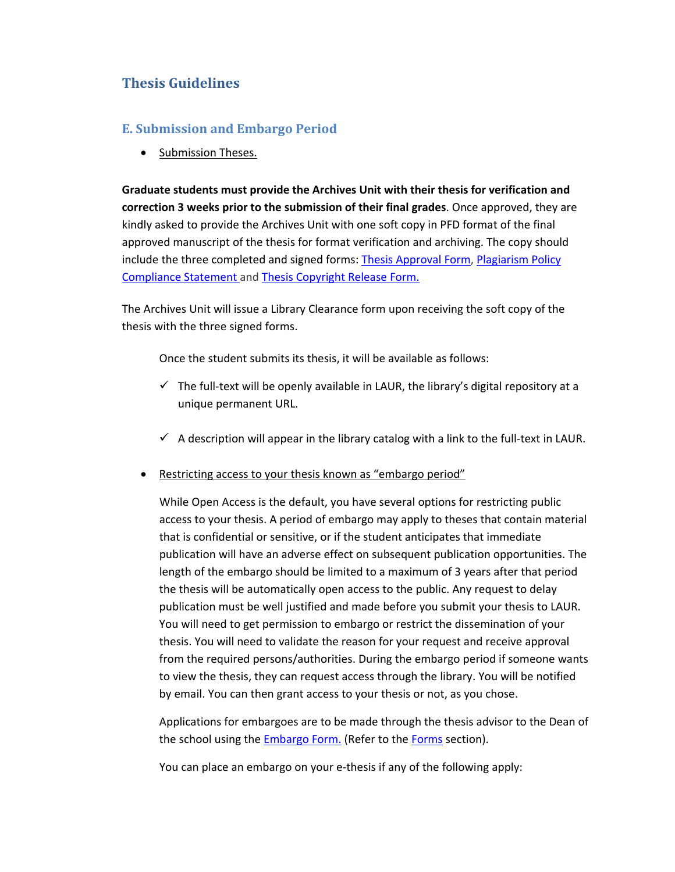## **Thesis Guidelines**

## **E. Submission and Embargo Period**

• Submission Theses.

**Graduate students must provide the Archives Unit with their thesis for verification and correction 3 weeks prior to the submission of their final grades**. Once approved, they are kindly asked to provide the Archives Unit with one soft copy in PFD format of the final approved manuscript of the thesis for format verification and archiving. The copy should include the three completed and signed forms: Thesis Approval Form, Plagiarism Policy Compliance Statement and Thesis Copyright Release Form.

The Archives Unit will issue a Library Clearance form upon receiving the soft copy of the thesis with the three signed forms.

Once the student submits its thesis, it will be available as follows:

- $\checkmark$  The full-text will be openly available in LAUR, the library's digital repository at a unique permanent URL.
- $\checkmark$  A description will appear in the library catalog with a link to the full-text in LAUR.
- Restricting access to your thesis known as "embargo period"

While Open Access is the default, you have several options for restricting public access to your thesis. A period of embargo may apply to theses that contain material that is confidential or sensitive, or if the student anticipates that immediate publication will have an adverse effect on subsequent publication opportunities. The length of the embargo should be limited to a maximum of 3 years after that period the thesis will be automatically open access to the public. Any request to delay publication must be well justified and made before you submit your thesis to LAUR. You will need to get permission to embargo or restrict the dissemination of your thesis. You will need to validate the reason for your request and receive approval from the required persons/authorities. During the embargo period if someone wants to view the thesis, they can request access through the library. You will be notified by email. You can then grant access to your thesis or not, as you chose.

Applications for embargoes are to be made through the thesis advisor to the Dean of the school using the **Embargo Form.** (Refer to the Forms section).

You can place an embargo on your e‐thesis if any of the following apply: